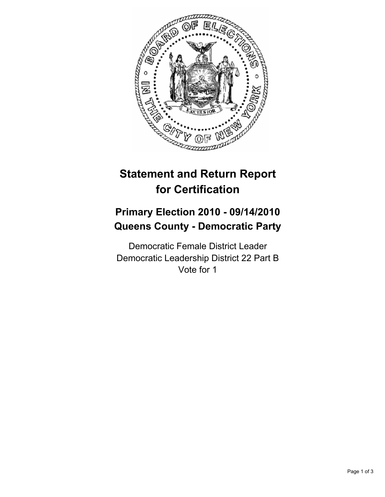

# **Statement and Return Report for Certification**

## **Primary Election 2010 - 09/14/2010 Queens County - Democratic Party**

Democratic Female District Leader Democratic Leadership District 22 Part B Vote for 1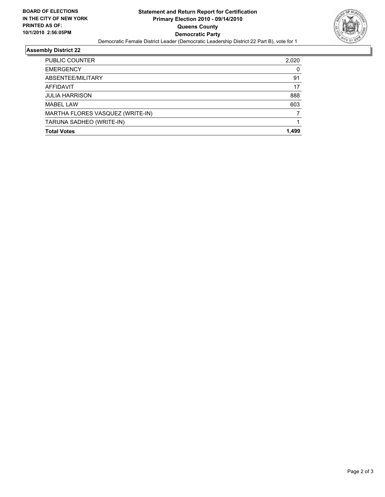

### **Assembly District 22**

| <b>PUBLIC COUNTER</b>            | 2.020 |
|----------------------------------|-------|
| <b>EMERGENCY</b>                 | 0     |
| ABSENTEE/MILITARY                | 91    |
| AFFIDAVIT                        | 17    |
| <b>JULIA HARRISON</b>            | 888   |
| <b>MABEL LAW</b>                 | 603   |
| MARTHA FLORES VASQUEZ (WRITE-IN) |       |
| TARUNA SADHEO (WRITE-IN)         |       |
| <b>Total Votes</b>               | 1.499 |
|                                  |       |